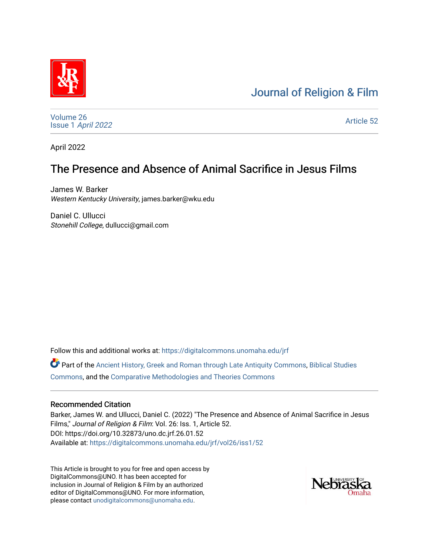# [Journal of Religion & Film](https://digitalcommons.unomaha.edu/jrf)



[Volume 26](https://digitalcommons.unomaha.edu/jrf/vol26) Issue 1 [April 2022](https://digitalcommons.unomaha.edu/jrf/vol26/iss1) 

[Article 52](https://digitalcommons.unomaha.edu/jrf/vol26/iss1/52) 

April 2022

# The Presence and Absence of Animal Sacrifice in Jesus Films

James W. Barker Western Kentucky University, james.barker@wku.edu

Daniel C. Ullucci Stonehill College, dullucci@gmail.com

Follow this and additional works at: [https://digitalcommons.unomaha.edu/jrf](https://digitalcommons.unomaha.edu/jrf?utm_source=digitalcommons.unomaha.edu%2Fjrf%2Fvol26%2Fiss1%2F52&utm_medium=PDF&utm_campaign=PDFCoverPages)

Part of the [Ancient History, Greek and Roman through Late Antiquity Commons](http://network.bepress.com/hgg/discipline/447?utm_source=digitalcommons.unomaha.edu%2Fjrf%2Fvol26%2Fiss1%2F52&utm_medium=PDF&utm_campaign=PDFCoverPages), Biblical Studies [Commons](http://network.bepress.com/hgg/discipline/539?utm_source=digitalcommons.unomaha.edu%2Fjrf%2Fvol26%2Fiss1%2F52&utm_medium=PDF&utm_campaign=PDFCoverPages), and the [Comparative Methodologies and Theories Commons](http://network.bepress.com/hgg/discipline/540?utm_source=digitalcommons.unomaha.edu%2Fjrf%2Fvol26%2Fiss1%2F52&utm_medium=PDF&utm_campaign=PDFCoverPages)

### Recommended Citation

Barker, James W. and Ullucci, Daniel C. (2022) "The Presence and Absence of Animal Sacrifice in Jesus Films," Journal of Religion & Film: Vol. 26: Iss. 1, Article 52. DOI: https://doi.org/10.32873/uno.dc.jrf.26.01.52 Available at: [https://digitalcommons.unomaha.edu/jrf/vol26/iss1/52](https://digitalcommons.unomaha.edu/jrf/vol26/iss1/52?utm_source=digitalcommons.unomaha.edu%2Fjrf%2Fvol26%2Fiss1%2F52&utm_medium=PDF&utm_campaign=PDFCoverPages) 

This Article is brought to you for free and open access by DigitalCommons@UNO. It has been accepted for inclusion in Journal of Religion & Film by an authorized editor of DigitalCommons@UNO. For more information, please contact [unodigitalcommons@unomaha.edu.](mailto:unodigitalcommons@unomaha.edu)

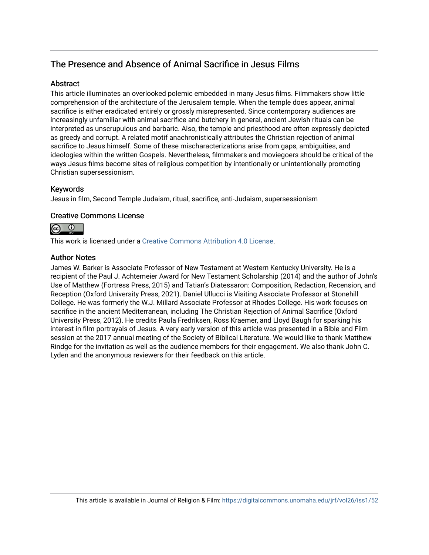## The Presence and Absence of Animal Sacrifice in Jesus Films

## **Abstract**

This article illuminates an overlooked polemic embedded in many Jesus films. Filmmakers show little comprehension of the architecture of the Jerusalem temple. When the temple does appear, animal sacrifice is either eradicated entirely or grossly misrepresented. Since contemporary audiences are increasingly unfamiliar with animal sacrifice and butchery in general, ancient Jewish rituals can be interpreted as unscrupulous and barbaric. Also, the temple and priesthood are often expressly depicted as greedy and corrupt. A related motif anachronistically attributes the Christian rejection of animal sacrifice to Jesus himself. Some of these mischaracterizations arise from gaps, ambiguities, and ideologies within the written Gospels. Nevertheless, filmmakers and moviegoers should be critical of the ways Jesus films become sites of religious competition by intentionally or unintentionally promoting Christian supersessionism.

## Keywords

Jesus in film, Second Temple Judaism, ritual, sacrifice, anti-Judaism, supersessionism

## Creative Commons License



This work is licensed under a [Creative Commons Attribution 4.0 License](https://creativecommons.org/licenses/by/4.0/).

## Author Notes

James W. Barker is Associate Professor of New Testament at Western Kentucky University. He is a recipient of the Paul J. Achtemeier Award for New Testament Scholarship (2014) and the author of John's Use of Matthew (Fortress Press, 2015) and Tatian's Diatessaron: Composition, Redaction, Recension, and Reception (Oxford University Press, 2021). Daniel Ullucci is Visiting Associate Professor at Stonehill College. He was formerly the W.J. Millard Associate Professor at Rhodes College. His work focuses on sacrifice in the ancient Mediterranean, including The Christian Rejection of Animal Sacrifice (Oxford University Press, 2012). He credits Paula Fredriksen, Ross Kraemer, and Lloyd Baugh for sparking his interest in film portrayals of Jesus. A very early version of this article was presented in a Bible and Film session at the 2017 annual meeting of the Society of Biblical Literature. We would like to thank Matthew Rindge for the invitation as well as the audience members for their engagement. We also thank John C. Lyden and the anonymous reviewers for their feedback on this article.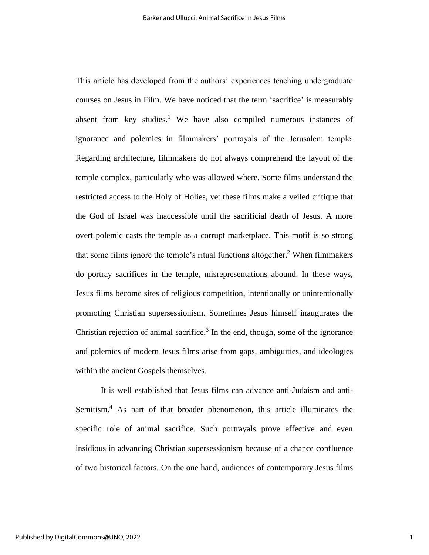This article has developed from the authors' experiences teaching undergraduate courses on Jesus in Film. We have noticed that the term 'sacrifice' is measurably absent from key studies.<sup>1</sup> We have also compiled numerous instances of ignorance and polemics in filmmakers' portrayals of the Jerusalem temple. Regarding architecture, filmmakers do not always comprehend the layout of the temple complex, particularly who was allowed where. Some films understand the restricted access to the Holy of Holies, yet these films make a veiled critique that the God of Israel was inaccessible until the sacrificial death of Jesus. A more overt polemic casts the temple as a corrupt marketplace. This motif is so strong that some films ignore the temple's ritual functions altogether.<sup>2</sup> When filmmakers do portray sacrifices in the temple, misrepresentations abound. In these ways, Jesus films become sites of religious competition, intentionally or unintentionally promoting Christian supersessionism. Sometimes Jesus himself inaugurates the Christian rejection of animal sacrifice.<sup>3</sup> In the end, though, some of the ignorance and polemics of modern Jesus films arise from gaps, ambiguities, and ideologies within the ancient Gospels themselves.

It is well established that Jesus films can advance anti-Judaism and anti-Semitism.<sup>4</sup> As part of that broader phenomenon, this article illuminates the specific role of animal sacrifice. Such portrayals prove effective and even insidious in advancing Christian supersessionism because of a chance confluence of two historical factors. On the one hand, audiences of contemporary Jesus films

1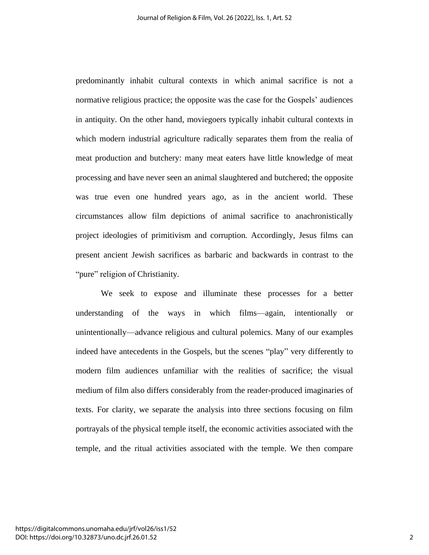predominantly inhabit cultural contexts in which animal sacrifice is not a normative religious practice; the opposite was the case for the Gospels' audiences in antiquity. On the other hand, moviegoers typically inhabit cultural contexts in which modern industrial agriculture radically separates them from the realia of meat production and butchery: many meat eaters have little knowledge of meat processing and have never seen an animal slaughtered and butchered; the opposite was true even one hundred years ago, as in the ancient world. These circumstances allow film depictions of animal sacrifice to anachronistically project ideologies of primitivism and corruption. Accordingly, Jesus films can present ancient Jewish sacrifices as barbaric and backwards in contrast to the "pure" religion of Christianity.

We seek to expose and illuminate these processes for a better understanding of the ways in which films—again, intentionally or unintentionally—advance religious and cultural polemics. Many of our examples indeed have antecedents in the Gospels, but the scenes "play" very differently to modern film audiences unfamiliar with the realities of sacrifice; the visual medium of film also differs considerably from the reader-produced imaginaries of texts. For clarity, we separate the analysis into three sections focusing on film portrayals of the physical temple itself, the economic activities associated with the temple, and the ritual activities associated with the temple. We then compare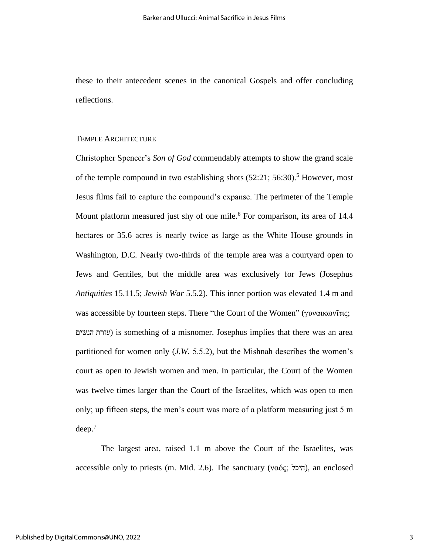these to their antecedent scenes in the canonical Gospels and offer concluding reflections.

#### TEMPLE ARCHITECTURE

Christopher Spencer's *Son of God* commendably attempts to show the grand scale of the temple compound in two establishing shots  $(52:21; 56:30).$ <sup>5</sup> However, most Jesus films fail to capture the compound's expanse. The perimeter of the Temple Mount platform measured just shy of one mile.<sup>6</sup> For comparison, its area of 14.4 hectares or 35.6 acres is nearly twice as large as the White House grounds in Washington, D.C. Nearly two-thirds of the temple area was a courtyard open to Jews and Gentiles, but the middle area was exclusively for Jews (Josephus *Antiquities* 15.11.5; *Jewish War* 5.5.2). This inner portion was elevated 1.4 m and was accessible by fourteen steps. There "the Court of the Women" (γυναικωνῖτις; הנשים עזרת (is something of a misnomer. Josephus implies that there was an area partitioned for women only (*J.W.* 5.5.2), but the Mishnah describes the women's court as open to Jewish women and men. In particular, the Court of the Women was twelve times larger than the Court of the Israelites, which was open to men only; up fifteen steps, the men's court was more of a platform measuring just 5 m  $deep.<sup>7</sup>$ 

The largest area, raised 1.1 m above the Court of the Israelites, was accessible only to priests (m. Mid. 2.6). The sanctuary (ναός;  $\overline{z}$ , an enclosed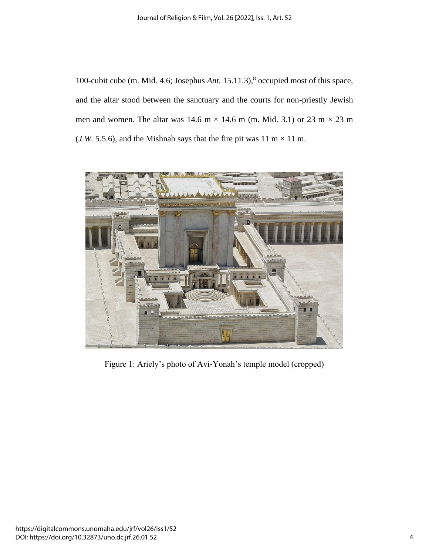100-cubit cube (m. Mid. 4.6; Josephus *Ant.* 15.11.3),<sup>8</sup> occupied most of this space, and the altar stood between the sanctuary and the courts for non-priestly Jewish men and women. The altar was 14.6 m  $\times$  14.6 m (m. Mid. 3.1) or 23 m  $\times$  23 m (*J.W.* 5.5.6), and the Mishnah says that the fire pit was  $11 \text{ m} \times 11 \text{ m}$ .



Figure 1: Ariely's photo of Avi-Yonah's temple model (cropped)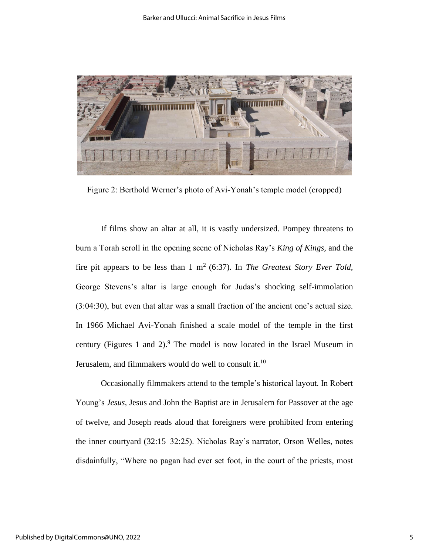

Figure 2: Berthold Werner's photo of Avi-Yonah's temple model (cropped)

If films show an altar at all, it is vastly undersized. Pompey threatens to burn a Torah scroll in the opening scene of Nicholas Ray's *King of Kings,* and the fire pit appears to be less than  $1 \text{ m}^2$  (6:37). In *The Greatest Story Ever Told,* George Stevens's altar is large enough for Judas's shocking self-immolation (3:04:30), but even that altar was a small fraction of the ancient one's actual size. In 1966 Michael Avi-Yonah finished a scale model of the temple in the first century (Figures 1 and 2). $9$  The model is now located in the Israel Museum in Jerusalem, and filmmakers would do well to consult it.<sup>10</sup>

Occasionally filmmakers attend to the temple's historical layout. In Robert Young's *Jesus,* Jesus and John the Baptist are in Jerusalem for Passover at the age of twelve, and Joseph reads aloud that foreigners were prohibited from entering the inner courtyard (32:15–32:25). Nicholas Ray's narrator, Orson Welles, notes disdainfully, "Where no pagan had ever set foot, in the court of the priests, most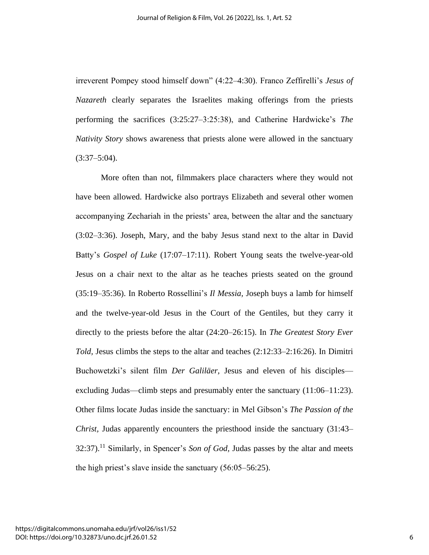irreverent Pompey stood himself down" (4:22–4:30). Franco Zeffirelli's *Jesus of Nazareth* clearly separates the Israelites making offerings from the priests performing the sacrifices (3:25:27–3:25:38), and Catherine Hardwicke's *The Nativity Story* shows awareness that priests alone were allowed in the sanctuary  $(3:37-5:04)$ .

More often than not, filmmakers place characters where they would not have been allowed. Hardwicke also portrays Elizabeth and several other women accompanying Zechariah in the priests' area, between the altar and the sanctuary (3:02–3:36). Joseph, Mary, and the baby Jesus stand next to the altar in David Batty's *Gospel of Luke* (17:07–17:11). Robert Young seats the twelve-year-old Jesus on a chair next to the altar as he teaches priests seated on the ground (35:19–35:36). In Roberto Rossellini's *Il Messia,* Joseph buys a lamb for himself and the twelve-year-old Jesus in the Court of the Gentiles, but they carry it directly to the priests before the altar (24:20–26:15). In *The Greatest Story Ever Told,* Jesus climbs the steps to the altar and teaches (2:12:33–2:16:26). In Dimitri Buchowetzki's silent film *Der Galiläer,* Jesus and eleven of his disciples excluding Judas—climb steps and presumably enter the sanctuary (11:06–11:23). Other films locate Judas inside the sanctuary: in Mel Gibson's *The Passion of the Christ,* Judas apparently encounters the priesthood inside the sanctuary (31:43– 32:37). <sup>11</sup> Similarly, in Spencer's *Son of God,* Judas passes by the altar and meets the high priest's slave inside the sanctuary (56:05–56:25).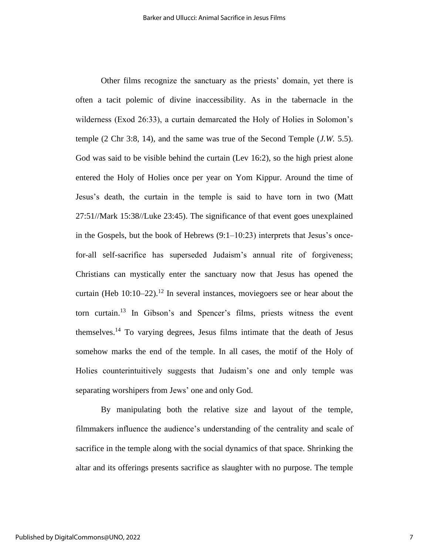Other films recognize the sanctuary as the priests' domain, yet there is often a tacit polemic of divine inaccessibility. As in the tabernacle in the wilderness (Exod 26:33), a curtain demarcated the Holy of Holies in Solomon's temple (2 Chr 3:8, 14), and the same was true of the Second Temple (*J.W.* 5.5). God was said to be visible behind the curtain (Lev 16:2), so the high priest alone entered the Holy of Holies once per year on Yom Kippur. Around the time of Jesus's death, the curtain in the temple is said to have torn in two (Matt 27:51//Mark 15:38//Luke 23:45). The significance of that event goes unexplained in the Gospels, but the book of Hebrews (9:1–10:23) interprets that Jesus's oncefor-all self-sacrifice has superseded Judaism's annual rite of forgiveness; Christians can mystically enter the sanctuary now that Jesus has opened the curtain (Heb  $10:10-22$ ).<sup>12</sup> In several instances, moviegoers see or hear about the torn curtain.<sup>13</sup> In Gibson's and Spencer's films, priests witness the event themselves.<sup>14</sup> To varying degrees, Jesus films intimate that the death of Jesus somehow marks the end of the temple. In all cases, the motif of the Holy of Holies counterintuitively suggests that Judaism's one and only temple was separating worshipers from Jews' one and only God.

By manipulating both the relative size and layout of the temple, filmmakers influence the audience's understanding of the centrality and scale of sacrifice in the temple along with the social dynamics of that space. Shrinking the altar and its offerings presents sacrifice as slaughter with no purpose. The temple

7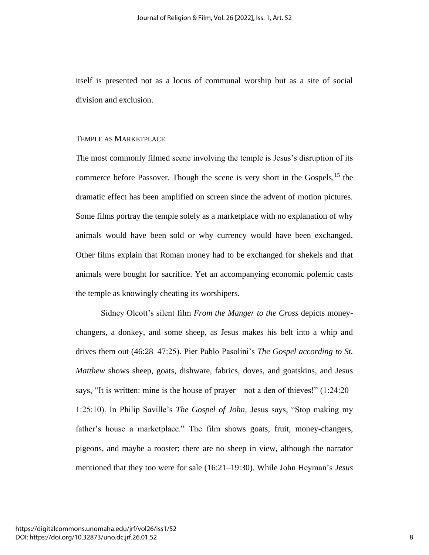itself is presented not as a locus of communal worship but as a site of social division and exclusion.

### TEMPLE AS MARKETPLACE

The most commonly filmed scene involving the temple is Jesus's disruption of its commerce before Passover. Though the scene is very short in the Gospels,  $15$  the dramatic effect has been amplified on screen since the advent of motion pictures. Some films portray the temple solely as a marketplace with no explanation of why animals would have been sold or why currency would have been exchanged. Other films explain that Roman money had to be exchanged for shekels and that animals were bought for sacrifice. Yet an accompanying economic polemic casts the temple as knowingly cheating its worshipers.

Sidney Olcott's silent film *From the Manger to the Cross* depicts moneychangers, a donkey, and some sheep, as Jesus makes his belt into a whip and drives them out (46:28–47:25). Pier Pablo Pasolini's *The Gospel according to St. Matthew* shows sheep, goats, dishware, fabrics, doves, and goatskins, and Jesus says, "It is written: mine is the house of prayer—not a den of thieves!" (1:24:20– 1:25:10). In Philip Saville's *The Gospel of John,* Jesus says, "Stop making my father's house a marketplace." The film shows goats, fruit, money-changers, pigeons, and maybe a rooster; there are no sheep in view, although the narrator mentioned that they too were for sale (16:21–19:30). While John Heyman's *Jesus*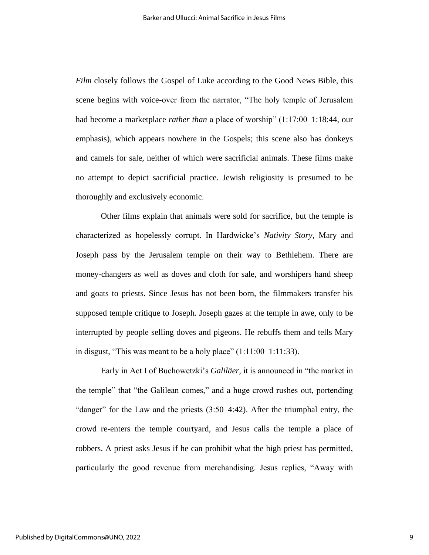*Film* closely follows the Gospel of Luke according to the Good News Bible, this scene begins with voice-over from the narrator, "The holy temple of Jerusalem had become a marketplace *rather than* a place of worship" (1:17:00–1:18:44, our emphasis), which appears nowhere in the Gospels; this scene also has donkeys and camels for sale, neither of which were sacrificial animals. These films make no attempt to depict sacrificial practice. Jewish religiosity is presumed to be thoroughly and exclusively economic.

Other films explain that animals were sold for sacrifice, but the temple is characterized as hopelessly corrupt. In Hardwicke's *Nativity Story,* Mary and Joseph pass by the Jerusalem temple on their way to Bethlehem. There are money-changers as well as doves and cloth for sale, and worshipers hand sheep and goats to priests. Since Jesus has not been born, the filmmakers transfer his supposed temple critique to Joseph. Joseph gazes at the temple in awe, only to be interrupted by people selling doves and pigeons. He rebuffs them and tells Mary in disgust, "This was meant to be a holy place"  $(1:11:00-1:11:33)$ .

Early in Act I of Buchowetzki's *Galiläer,* it is announced in "the market in the temple" that "the Galilean comes," and a huge crowd rushes out, portending "danger" for the Law and the priests (3:50–4:42). After the triumphal entry, the crowd re-enters the temple courtyard, and Jesus calls the temple a place of robbers. A priest asks Jesus if he can prohibit what the high priest has permitted, particularly the good revenue from merchandising. Jesus replies, "Away with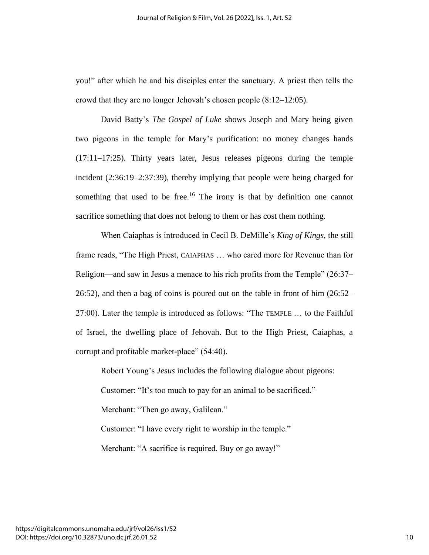you!" after which he and his disciples enter the sanctuary. A priest then tells the crowd that they are no longer Jehovah's chosen people (8:12–12:05).

David Batty's *The Gospel of Luke* shows Joseph and Mary being given two pigeons in the temple for Mary's purification: no money changes hands (17:11–17:25). Thirty years later, Jesus releases pigeons during the temple incident (2:36:19–2:37:39), thereby implying that people were being charged for something that used to be free.<sup>16</sup> The irony is that by definition one cannot sacrifice something that does not belong to them or has cost them nothing.

When Caiaphas is introduced in Cecil B. DeMille's *King of Kings,* the still frame reads, "The High Priest, CAIAPHAS … who cared more for Revenue than for Religion—and saw in Jesus a menace to his rich profits from the Temple" (26:37– 26:52), and then a bag of coins is poured out on the table in front of him (26:52– 27:00). Later the temple is introduced as follows: "The TEMPLE … to the Faithful of Israel, the dwelling place of Jehovah. But to the High Priest, Caiaphas, a corrupt and profitable market-place" (54:40).

Robert Young's *Jesus* includes the following dialogue about pigeons: Customer: "It's too much to pay for an animal to be sacrificed." Merchant: "Then go away, Galilean." Customer: "I have every right to worship in the temple." Merchant: "A sacrifice is required. Buy or go away!"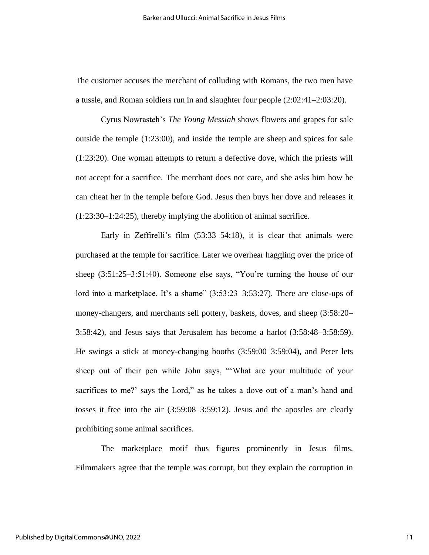The customer accuses the merchant of colluding with Romans, the two men have a tussle, and Roman soldiers run in and slaughter four people (2:02:41–2:03:20).

Cyrus Nowrasteh's *The Young Messiah* shows flowers and grapes for sale outside the temple (1:23:00), and inside the temple are sheep and spices for sale (1:23:20). One woman attempts to return a defective dove, which the priests will not accept for a sacrifice. The merchant does not care, and she asks him how he can cheat her in the temple before God. Jesus then buys her dove and releases it (1:23:30–1:24:25), thereby implying the abolition of animal sacrifice.

Early in Zeffirelli's film (53:33–54:18), it is clear that animals were purchased at the temple for sacrifice. Later we overhear haggling over the price of sheep (3:51:25–3:51:40). Someone else says, "You're turning the house of our lord into a marketplace. It's a shame" (3:53:23–3:53:27). There are close-ups of money-changers, and merchants sell pottery, baskets, doves, and sheep (3:58:20– 3:58:42), and Jesus says that Jerusalem has become a harlot (3:58:48–3:58:59). He swings a stick at money-changing booths (3:59:00–3:59:04), and Peter lets sheep out of their pen while John says, "'What are your multitude of your sacrifices to me?' says the Lord," as he takes a dove out of a man's hand and tosses it free into the air (3:59:08–3:59:12). Jesus and the apostles are clearly prohibiting some animal sacrifices.

The marketplace motif thus figures prominently in Jesus films. Filmmakers agree that the temple was corrupt, but they explain the corruption in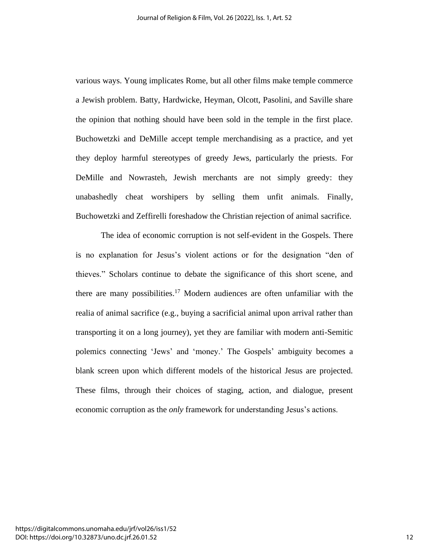various ways. Young implicates Rome, but all other films make temple commerce a Jewish problem. Batty, Hardwicke, Heyman, Olcott, Pasolini, and Saville share the opinion that nothing should have been sold in the temple in the first place. Buchowetzki and DeMille accept temple merchandising as a practice, and yet they deploy harmful stereotypes of greedy Jews, particularly the priests. For DeMille and Nowrasteh, Jewish merchants are not simply greedy: they unabashedly cheat worshipers by selling them unfit animals. Finally, Buchowetzki and Zeffirelli foreshadow the Christian rejection of animal sacrifice.

The idea of economic corruption is not self-evident in the Gospels. There is no explanation for Jesus's violent actions or for the designation "den of thieves." Scholars continue to debate the significance of this short scene, and there are many possibilities.<sup>17</sup> Modern audiences are often unfamiliar with the realia of animal sacrifice (e.g., buying a sacrificial animal upon arrival rather than transporting it on a long journey), yet they are familiar with modern anti-Semitic polemics connecting 'Jews' and 'money.' The Gospels' ambiguity becomes a blank screen upon which different models of the historical Jesus are projected. These films, through their choices of staging, action, and dialogue, present economic corruption as the *only* framework for understanding Jesus's actions.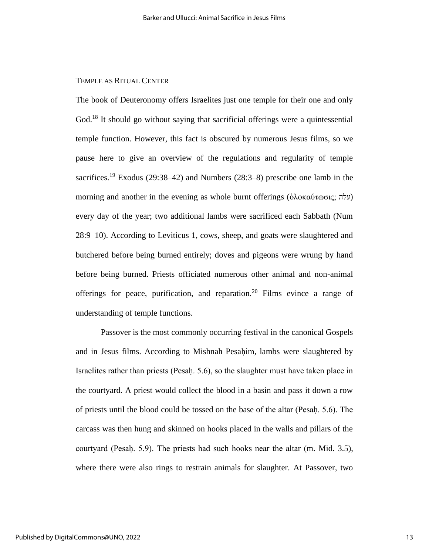### TEMPLE AS RITUAL CENTER

The book of Deuteronomy offers Israelites just one temple for their one and only God.<sup>18</sup> It should go without saying that sacrificial offerings were a quintessential temple function. However, this fact is obscured by numerous Jesus films, so we pause here to give an overview of the regulations and regularity of temple sacrifices.<sup>19</sup> Exodus (29:38–42) and Numbers (28:3–8) prescribe one lamb in the morning and another in the evening as whole burnt offerings (ὁλοκαύτωσις; עלה) every day of the year; two additional lambs were sacrificed each Sabbath (Num 28:9–10). According to Leviticus 1, cows, sheep, and goats were slaughtered and butchered before being burned entirely; doves and pigeons were wrung by hand before being burned. Priests officiated numerous other animal and non-animal offerings for peace, purification, and reparation.<sup>20</sup> Films evince a range of understanding of temple functions.

Passover is the most commonly occurring festival in the canonical Gospels and in Jesus films. According to Mishnah Pesaḥim*,* lambs were slaughtered by Israelites rather than priests (Pesaḥ. 5.6), so the slaughter must have taken place in the courtyard. A priest would collect the blood in a basin and pass it down a row of priests until the blood could be tossed on the base of the altar (Pesaḥ. 5.6). The carcass was then hung and skinned on hooks placed in the walls and pillars of the courtyard (Pesaḥ. 5.9). The priests had such hooks near the altar (m. Mid. 3.5), where there were also rings to restrain animals for slaughter. At Passover, two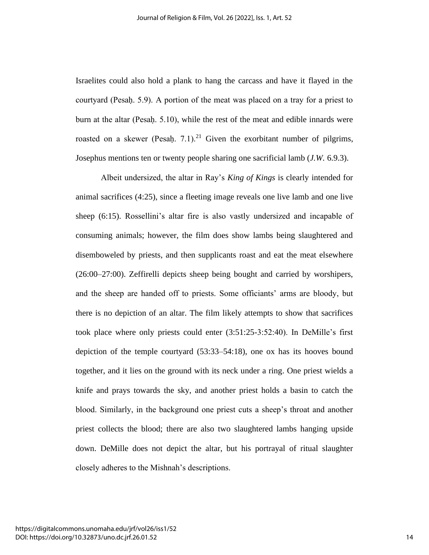Israelites could also hold a plank to hang the carcass and have it flayed in the courtyard (Pesaḥ. 5.9). A portion of the meat was placed on a tray for a priest to burn at the altar (Pesaḥ. 5.10), while the rest of the meat and edible innards were roasted on a skewer (Pesaḥ. 7.1).<sup>21</sup> Given the exorbitant number of pilgrims, Josephus mentions ten or twenty people sharing one sacrificial lamb (*J.W.* 6.9.3).

Albeit undersized, the altar in Ray's *King of Kings* is clearly intended for animal sacrifices (4:25), since a fleeting image reveals one live lamb and one live sheep (6:15). Rossellini's altar fire is also vastly undersized and incapable of consuming animals; however, the film does show lambs being slaughtered and disemboweled by priests, and then supplicants roast and eat the meat elsewhere (26:00–27:00). Zeffirelli depicts sheep being bought and carried by worshipers, and the sheep are handed off to priests. Some officiants' arms are bloody, but there is no depiction of an altar. The film likely attempts to show that sacrifices took place where only priests could enter (3:51:25-3:52:40). In DeMille's first depiction of the temple courtyard (53:33–54:18), one ox has its hooves bound together, and it lies on the ground with its neck under a ring. One priest wields a knife and prays towards the sky, and another priest holds a basin to catch the blood. Similarly, in the background one priest cuts a sheep's throat and another priest collects the blood; there are also two slaughtered lambs hanging upside down. DeMille does not depict the altar, but his portrayal of ritual slaughter closely adheres to the Mishnah's descriptions.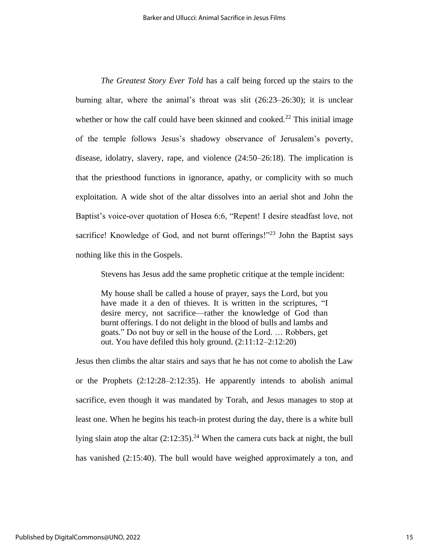*The Greatest Story Ever Told* has a calf being forced up the stairs to the burning altar, where the animal's throat was slit (26:23–26:30); it is unclear whether or how the calf could have been skinned and cooked.<sup>22</sup> This initial image of the temple follows Jesus's shadowy observance of Jerusalem's poverty, disease, idolatry, slavery, rape, and violence (24:50–26:18). The implication is that the priesthood functions in ignorance, apathy, or complicity with so much exploitation. A wide shot of the altar dissolves into an aerial shot and John the Baptist's voice-over quotation of Hosea 6:6, "Repent! I desire steadfast love, not sacrifice! Knowledge of God, and not burnt offerings!"<sup>23</sup> John the Baptist says nothing like this in the Gospels.

Stevens has Jesus add the same prophetic critique at the temple incident:

My house shall be called a house of prayer, says the Lord, but you have made it a den of thieves. It is written in the scriptures, "I desire mercy, not sacrifice—rather the knowledge of God than burnt offerings. I do not delight in the blood of bulls and lambs and goats." Do not buy or sell in the house of the Lord. … Robbers, get out. You have defiled this holy ground. (2:11:12–2:12:20)

Jesus then climbs the altar stairs and says that he has not come to abolish the Law or the Prophets (2:12:28–2:12:35). He apparently intends to abolish animal sacrifice, even though it was mandated by Torah, and Jesus manages to stop at least one. When he begins his teach-in protest during the day, there is a white bull lying slain atop the altar  $(2.12.35)$ .<sup>24</sup> When the camera cuts back at night, the bull has vanished (2:15:40). The bull would have weighed approximately a ton, and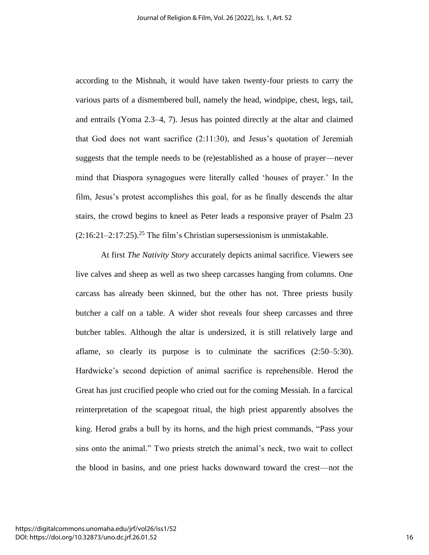according to the Mishnah, it would have taken twenty-four priests to carry the various parts of a dismembered bull, namely the head, windpipe, chest, legs, tail, and entrails (Yoma 2.3–4, 7). Jesus has pointed directly at the altar and claimed that God does not want sacrifice (2:11:30), and Jesus's quotation of Jeremiah suggests that the temple needs to be (re)established as a house of prayer—never mind that Diaspora synagogues were literally called 'houses of prayer.' In the film, Jesus's protest accomplishes this goal, for as he finally descends the altar stairs, the crowd begins to kneel as Peter leads a responsive prayer of Psalm 23  $(2:16:21-2:17:25).$ <sup>25</sup> The film's Christian supersessionism is unmistakable.

At first *The Nativity Story* accurately depicts animal sacrifice. Viewers see live calves and sheep as well as two sheep carcasses hanging from columns. One carcass has already been skinned, but the other has not. Three priests busily butcher a calf on a table. A wider shot reveals four sheep carcasses and three butcher tables. Although the altar is undersized, it is still relatively large and aflame, so clearly its purpose is to culminate the sacrifices (2:50–5:30). Hardwicke's second depiction of animal sacrifice is reprehensible. Herod the Great has just crucified people who cried out for the coming Messiah. In a farcical reinterpretation of the scapegoat ritual, the high priest apparently absolves the king. Herod grabs a bull by its horns, and the high priest commands, "Pass your sins onto the animal." Two priests stretch the animal's neck, two wait to collect the blood in basins, and one priest hacks downward toward the crest—not the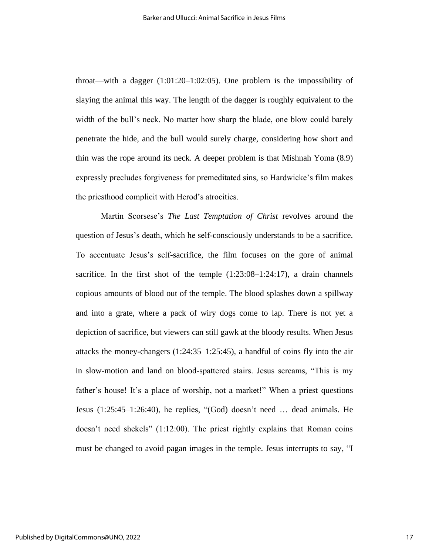throat—with a dagger (1:01:20–1:02:05). One problem is the impossibility of slaying the animal this way. The length of the dagger is roughly equivalent to the width of the bull's neck. No matter how sharp the blade, one blow could barely penetrate the hide, and the bull would surely charge, considering how short and thin was the rope around its neck. A deeper problem is that Mishnah Yoma (8.9) expressly precludes forgiveness for premeditated sins, so Hardwicke's film makes the priesthood complicit with Herod's atrocities.

Martin Scorsese's *The Last Temptation of Christ* revolves around the question of Jesus's death, which he self-consciously understands to be a sacrifice. To accentuate Jesus's self-sacrifice, the film focuses on the gore of animal sacrifice. In the first shot of the temple  $(1:23:08-1:24:17)$ , a drain channels copious amounts of blood out of the temple. The blood splashes down a spillway and into a grate, where a pack of wiry dogs come to lap. There is not yet a depiction of sacrifice, but viewers can still gawk at the bloody results. When Jesus attacks the money-changers (1:24:35–1:25:45), a handful of coins fly into the air in slow-motion and land on blood-spattered stairs. Jesus screams, "This is my father's house! It's a place of worship, not a market!" When a priest questions Jesus (1:25:45–1:26:40), he replies, "(God) doesn't need … dead animals. He doesn't need shekels" (1:12:00). The priest rightly explains that Roman coins must be changed to avoid pagan images in the temple. Jesus interrupts to say, "I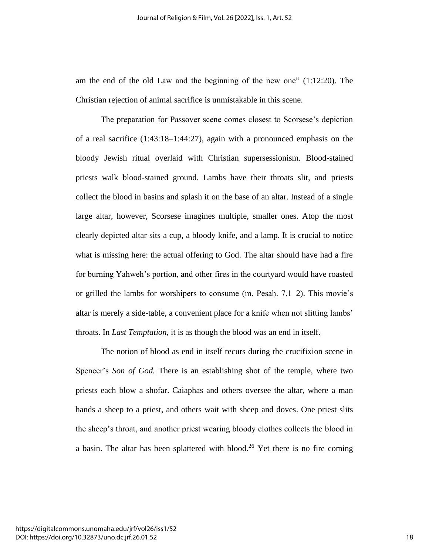am the end of the old Law and the beginning of the new one" (1:12:20). The Christian rejection of animal sacrifice is unmistakable in this scene.

The preparation for Passover scene comes closest to Scorsese's depiction of a real sacrifice (1:43:18–1:44:27), again with a pronounced emphasis on the bloody Jewish ritual overlaid with Christian supersessionism. Blood-stained priests walk blood-stained ground. Lambs have their throats slit, and priests collect the blood in basins and splash it on the base of an altar. Instead of a single large altar, however, Scorsese imagines multiple, smaller ones. Atop the most clearly depicted altar sits a cup, a bloody knife, and a lamp. It is crucial to notice what is missing here: the actual offering to God. The altar should have had a fire for burning Yahweh's portion, and other fires in the courtyard would have roasted or grilled the lambs for worshipers to consume  $(m. Pesah. 7.1–2)$ . This movie's altar is merely a side-table, a convenient place for a knife when not slitting lambs' throats. In *Last Temptation,* it is as though the blood was an end in itself.

The notion of blood as end in itself recurs during the crucifixion scene in Spencer's *Son of God.* There is an establishing shot of the temple, where two priests each blow a shofar. Caiaphas and others oversee the altar, where a man hands a sheep to a priest, and others wait with sheep and doves. One priest slits the sheep's throat, and another priest wearing bloody clothes collects the blood in a basin. The altar has been splattered with blood.<sup>26</sup> Yet there is no fire coming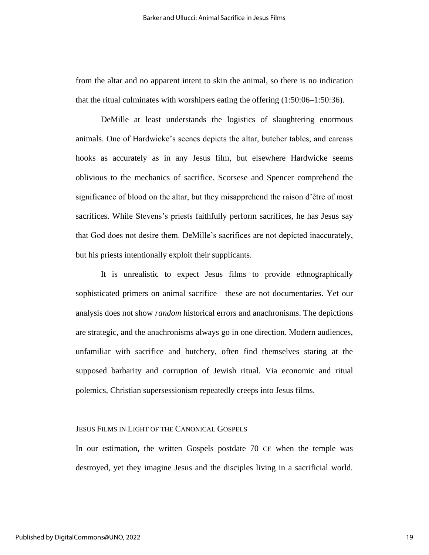from the altar and no apparent intent to skin the animal, so there is no indication that the ritual culminates with worshipers eating the offering (1:50:06–1:50:36).

DeMille at least understands the logistics of slaughtering enormous animals. One of Hardwicke's scenes depicts the altar, butcher tables, and carcass hooks as accurately as in any Jesus film, but elsewhere Hardwicke seems oblivious to the mechanics of sacrifice. Scorsese and Spencer comprehend the significance of blood on the altar, but they misapprehend the raison d'être of most sacrifices. While Stevens's priests faithfully perform sacrifices, he has Jesus say that God does not desire them. DeMille's sacrifices are not depicted inaccurately, but his priests intentionally exploit their supplicants.

It is unrealistic to expect Jesus films to provide ethnographically sophisticated primers on animal sacrifice—these are not documentaries. Yet our analysis does not show *random* historical errors and anachronisms. The depictions are strategic, and the anachronisms always go in one direction. Modern audiences, unfamiliar with sacrifice and butchery, often find themselves staring at the supposed barbarity and corruption of Jewish ritual. Via economic and ritual polemics, Christian supersessionism repeatedly creeps into Jesus films.

#### JESUS FILMS IN LIGHT OF THE CANONICAL GOSPELS

In our estimation, the written Gospels postdate 70 CE when the temple was destroyed, yet they imagine Jesus and the disciples living in a sacrificial world.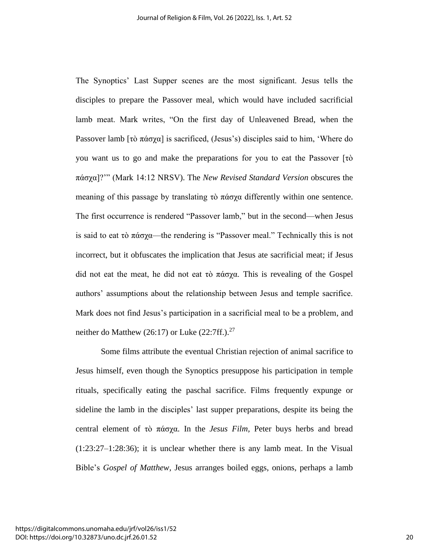The Synoptics' Last Supper scenes are the most significant. Jesus tells the disciples to prepare the Passover meal, which would have included sacrificial lamb meat. Mark writes, "On the first day of Unleavened Bread, when the Passover lamb [τὸ πάσχα] is sacrificed, (Jesus's) disciples said to him, 'Where do you want us to go and make the preparations for you to eat the Passover [τὸ πάσχα]?'" (Mark 14:12 NRSV). The *New Revised Standard Version* obscures the meaning of this passage by translating τὸ πάσχα differently within one sentence. The first occurrence is rendered "Passover lamb," but in the second—when Jesus is said to eat τὸ πάσχα—the rendering is "Passover meal." Technically this is not incorrect, but it obfuscates the implication that Jesus ate sacrificial meat; if Jesus did not eat the meat, he did not eat τὸ πάσχα. This is revealing of the Gospel authors' assumptions about the relationship between Jesus and temple sacrifice. Mark does not find Jesus's participation in a sacrificial meal to be a problem, and neither do Matthew (26:17) or Luke (22:7ff.). $^{27}$ 

Some films attribute the eventual Christian rejection of animal sacrifice to Jesus himself, even though the Synoptics presuppose his participation in temple rituals, specifically eating the paschal sacrifice. Films frequently expunge or sideline the lamb in the disciples' last supper preparations, despite its being the central element of τὸ πάσχα. In the *Jesus Film,* Peter buys herbs and bread (1:23:27–1:28:36); it is unclear whether there is any lamb meat. In the Visual Bible's *Gospel of Matthew,* Jesus arranges boiled eggs, onions, perhaps a lamb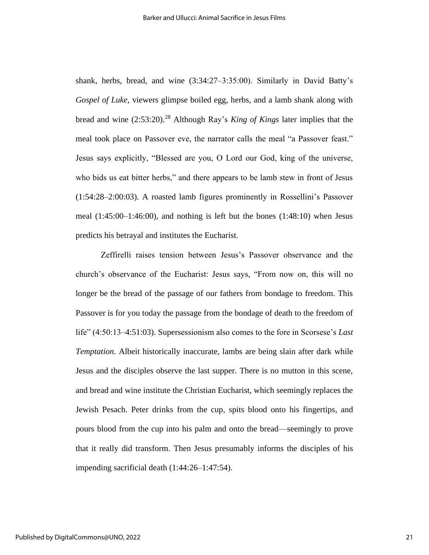shank, herbs, bread, and wine (3:34:27–3:35:00). Similarly in David Batty's *Gospel of Luke,* viewers glimpse boiled egg, herbs, and a lamb shank along with bread and wine (2:53:20).<sup>28</sup> Although Ray's *King of Kings* later implies that the meal took place on Passover eve, the narrator calls the meal "a Passover feast." Jesus says explicitly, "Blessed are you, O Lord our God, king of the universe, who bids us eat bitter herbs," and there appears to be lamb stew in front of Jesus (1:54:28–2:00:03). A roasted lamb figures prominently in Rossellini's Passover meal (1:45:00–1:46:00), and nothing is left but the bones (1:48:10) when Jesus predicts his betrayal and institutes the Eucharist.

Zeffirelli raises tension between Jesus's Passover observance and the church's observance of the Eucharist: Jesus says, "From now on, this will no longer be the bread of the passage of our fathers from bondage to freedom. This Passover is for you today the passage from the bondage of death to the freedom of life" (4:50:13–4:51:03). Supersessionism also comes to the fore in Scorsese's *Last Temptation*. Albeit historically inaccurate, lambs are being slain after dark while Jesus and the disciples observe the last supper. There is no mutton in this scene, and bread and wine institute the Christian Eucharist, which seemingly replaces the Jewish Pesach. Peter drinks from the cup, spits blood onto his fingertips, and pours blood from the cup into his palm and onto the bread—seemingly to prove that it really did transform. Then Jesus presumably informs the disciples of his impending sacrificial death (1:44:26–1:47:54).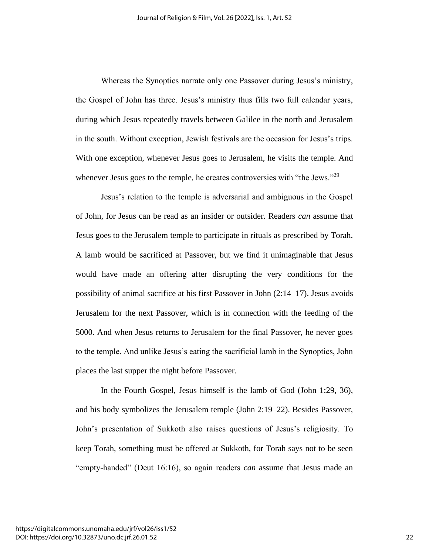Whereas the Synoptics narrate only one Passover during Jesus's ministry, the Gospel of John has three. Jesus's ministry thus fills two full calendar years, during which Jesus repeatedly travels between Galilee in the north and Jerusalem in the south. Without exception, Jewish festivals are the occasion for Jesus's trips. With one exception, whenever Jesus goes to Jerusalem, he visits the temple. And whenever Jesus goes to the temple, he creates controversies with "the Jews."<sup>29</sup>

Jesus's relation to the temple is adversarial and ambiguous in the Gospel of John, for Jesus can be read as an insider or outsider. Readers *can* assume that Jesus goes to the Jerusalem temple to participate in rituals as prescribed by Torah. A lamb would be sacrificed at Passover, but we find it unimaginable that Jesus would have made an offering after disrupting the very conditions for the possibility of animal sacrifice at his first Passover in John (2:14–17). Jesus avoids Jerusalem for the next Passover, which is in connection with the feeding of the 5000. And when Jesus returns to Jerusalem for the final Passover, he never goes to the temple. And unlike Jesus's eating the sacrificial lamb in the Synoptics, John places the last supper the night before Passover.

In the Fourth Gospel, Jesus himself is the lamb of God (John 1:29, 36), and his body symbolizes the Jerusalem temple (John 2:19–22). Besides Passover, John's presentation of Sukkoth also raises questions of Jesus's religiosity. To keep Torah, something must be offered at Sukkoth, for Torah says not to be seen "empty-handed" (Deut 16:16), so again readers *can* assume that Jesus made an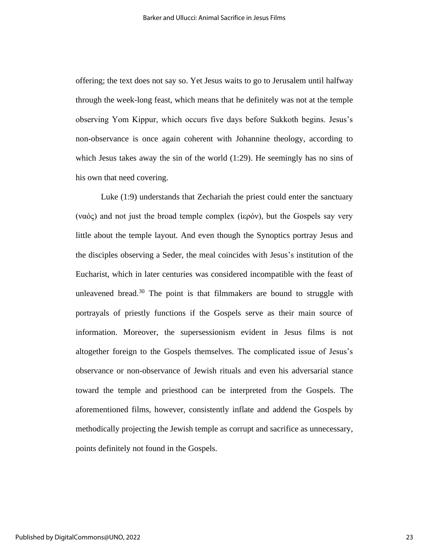offering; the text does not say so. Yet Jesus waits to go to Jerusalem until halfway through the week-long feast, which means that he definitely was not at the temple observing Yom Kippur, which occurs five days before Sukkoth begins. Jesus's non-observance is once again coherent with Johannine theology, according to which Jesus takes away the sin of the world (1:29). He seemingly has no sins of his own that need covering.

Luke (1:9) understands that Zechariah the priest could enter the sanctuary (ναός) and not just the broad temple complex (ἱερόν), but the Gospels say very little about the temple layout. And even though the Synoptics portray Jesus and the disciples observing a Seder, the meal coincides with Jesus's institution of the Eucharist, which in later centuries was considered incompatible with the feast of unleavened bread.<sup>30</sup> The point is that filmmakers are bound to struggle with portrayals of priestly functions if the Gospels serve as their main source of information. Moreover, the supersessionism evident in Jesus films is not altogether foreign to the Gospels themselves. The complicated issue of Jesus's observance or non-observance of Jewish rituals and even his adversarial stance toward the temple and priesthood can be interpreted from the Gospels. The aforementioned films, however, consistently inflate and addend the Gospels by methodically projecting the Jewish temple as corrupt and sacrifice as unnecessary, points definitely not found in the Gospels.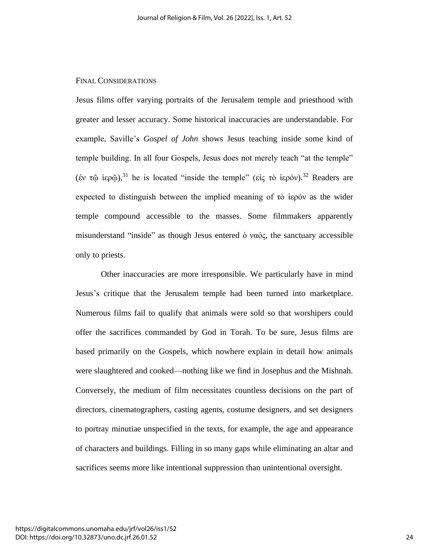#### FINAL CONSIDERATIONS

Jesus films offer varying portraits of the Jerusalem temple and priesthood with greater and lesser accuracy. Some historical inaccuracies are understandable. For example, Saville's *Gospel of John* shows Jesus teaching inside some kind of temple building. In all four Gospels, Jesus does not merely teach "at the temple" (έν τῷ ἱερῷ), <sup>31</sup> he is located "inside the temple" (εἰς τὸ ἱερόν).<sup>32</sup> Readers are expected to distinguish between the implied meaning of τὸ ἱερόν as the wider temple compound accessible to the masses. Some filmmakers apparently misunderstand "inside" as though Jesus entered ὁ ναός, the sanctuary accessible only to priests.

Other inaccuracies are more irresponsible. We particularly have in mind Jesus's critique that the Jerusalem temple had been turned into marketplace. Numerous films fail to qualify that animals were sold so that worshipers could offer the sacrifices commanded by God in Torah. To be sure, Jesus films are based primarily on the Gospels, which nowhere explain in detail how animals were slaughtered and cooked—nothing like we find in Josephus and the Mishnah. Conversely, the medium of film necessitates countless decisions on the part of directors, cinematographers, casting agents, costume designers, and set designers to portray minutiae unspecified in the texts, for example, the age and appearance of characters and buildings. Filling in so many gaps while eliminating an altar and sacrifices seems more like intentional suppression than unintentional oversight.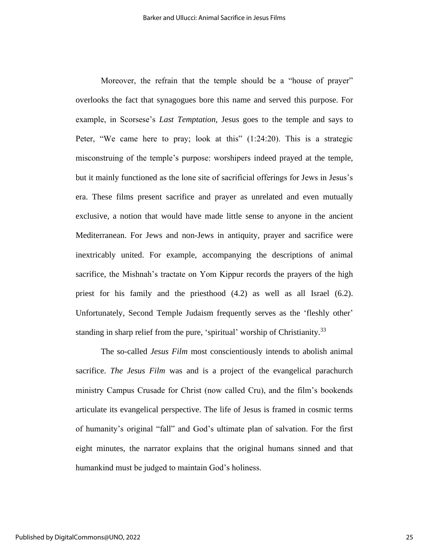Moreover, the refrain that the temple should be a "house of prayer" overlooks the fact that synagogues bore this name and served this purpose. For example, in Scorsese's *Last Temptation,* Jesus goes to the temple and says to Peter, "We came here to pray; look at this"  $(1:24:20)$ . This is a strategic misconstruing of the temple's purpose: worshipers indeed prayed at the temple, but it mainly functioned as the lone site of sacrificial offerings for Jews in Jesus's era. These films present sacrifice and prayer as unrelated and even mutually exclusive, a notion that would have made little sense to anyone in the ancient Mediterranean. For Jews and non-Jews in antiquity, prayer and sacrifice were inextricably united. For example, accompanying the descriptions of animal sacrifice, the Mishnah's tractate on Yom Kippur records the prayers of the high priest for his family and the priesthood (4.2) as well as all Israel (6.2). Unfortunately, Second Temple Judaism frequently serves as the 'fleshly other' standing in sharp relief from the pure, 'spiritual' worship of Christianity.<sup>33</sup>

The so-called *Jesus Film* most conscientiously intends to abolish animal sacrifice. *The Jesus Film* was and is a project of the evangelical parachurch ministry Campus Crusade for Christ (now called Cru), and the film's bookends articulate its evangelical perspective. The life of Jesus is framed in cosmic terms of humanity's original "fall" and God's ultimate plan of salvation. For the first eight minutes, the narrator explains that the original humans sinned and that humankind must be judged to maintain God's holiness.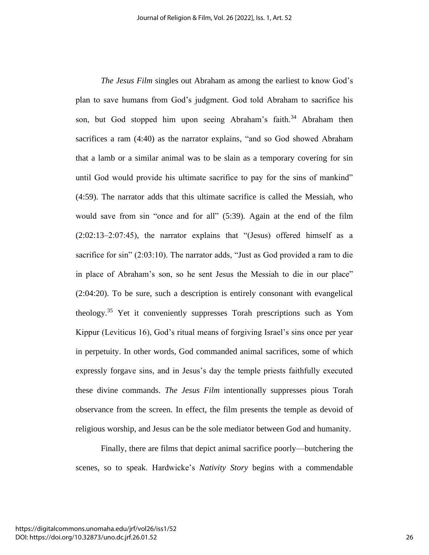*The Jesus Film* singles out Abraham as among the earliest to know God's plan to save humans from God's judgment. God told Abraham to sacrifice his son, but God stopped him upon seeing Abraham's faith.<sup>34</sup> Abraham then sacrifices a ram (4:40) as the narrator explains, "and so God showed Abraham that a lamb or a similar animal was to be slain as a temporary covering for sin until God would provide his ultimate sacrifice to pay for the sins of mankind" (4:59). The narrator adds that this ultimate sacrifice is called the Messiah, who would save from sin "once and for all" (5:39). Again at the end of the film (2:02:13–2:07:45), the narrator explains that "(Jesus) offered himself as a sacrifice for sin" (2:03:10). The narrator adds, "Just as God provided a ram to die in place of Abraham's son, so he sent Jesus the Messiah to die in our place" (2:04:20). To be sure, such a description is entirely consonant with evangelical theology.<sup>35</sup> Yet it conveniently suppresses Torah prescriptions such as Yom Kippur (Leviticus 16), God's ritual means of forgiving Israel's sins once per year in perpetuity. In other words, God commanded animal sacrifices, some of which expressly forgave sins, and in Jesus's day the temple priests faithfully executed these divine commands. *The Jesus Film* intentionally suppresses pious Torah observance from the screen. In effect, the film presents the temple as devoid of religious worship, and Jesus can be the sole mediator between God and humanity.

Finally, there are films that depict animal sacrifice poorly—butchering the scenes, so to speak. Hardwicke's *Nativity Story* begins with a commendable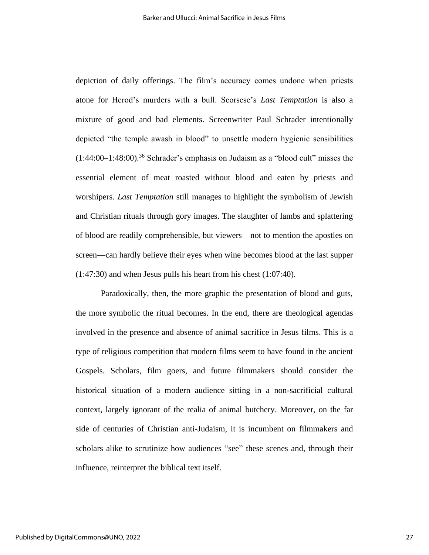depiction of daily offerings. The film's accuracy comes undone when priests atone for Herod's murders with a bull. Scorsese's *Last Temptation* is also a mixture of good and bad elements. Screenwriter Paul Schrader intentionally depicted "the temple awash in blood" to unsettle modern hygienic sensibilities  $(1:44:00-1:48:00).$ <sup>36</sup> Schrader's emphasis on Judaism as a "blood cult" misses the essential element of meat roasted without blood and eaten by priests and worshipers. *Last Temptation* still manages to highlight the symbolism of Jewish and Christian rituals through gory images. The slaughter of lambs and splattering of blood are readily comprehensible, but viewers—not to mention the apostles on screen—can hardly believe their eyes when wine becomes blood at the last supper (1:47:30) and when Jesus pulls his heart from his chest (1:07:40).

Paradoxically, then, the more graphic the presentation of blood and guts, the more symbolic the ritual becomes. In the end, there are theological agendas involved in the presence and absence of animal sacrifice in Jesus films. This is a type of religious competition that modern films seem to have found in the ancient Gospels. Scholars, film goers, and future filmmakers should consider the historical situation of a modern audience sitting in a non-sacrificial cultural context, largely ignorant of the realia of animal butchery. Moreover, on the far side of centuries of Christian anti-Judaism, it is incumbent on filmmakers and scholars alike to scrutinize how audiences "see" these scenes and, through their influence, reinterpret the biblical text itself.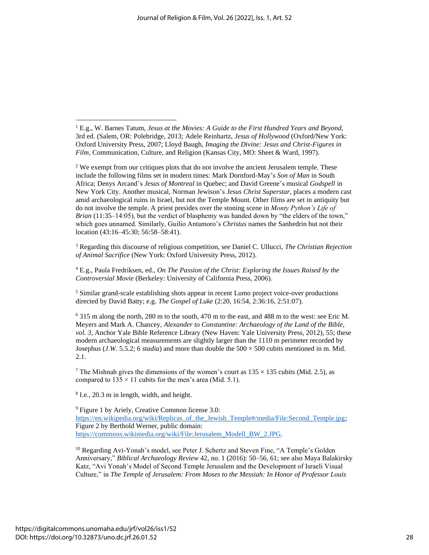<sup>3</sup> Regarding this discourse of religious competition, see Daniel C. Ullucci, *The Christian Rejection of Animal Sacrifice* (New York: Oxford University Press, 2012).

<sup>4</sup> E.g., Paula Fredriksen, ed., *On The Passion of the Christ: Exploring the Issues Raised by the Controversial Movie* (Berkeley: University of California Press, 2006).

<sup>5</sup> Similar grand-scale establishing shots appear in recent Lumo project voice-over productions directed by David Batty; e.g. *The Gospel of Luke* (2:20, 16:54, 2:36:16, 2:51:07).

<sup>6</sup> 315 m along the north, 280 m to the south, 470 m to the east, and 488 m to the west: see Eric M. Meyers and Mark A. Chancey, *Alexander to Constantine: Archaeology of the Land of the Bible, vol. 3,* Anchor Yale Bible Reference Library (New Haven: Yale University Press, 2012), 55; these modern archaeological measurements are slightly larger than the 1110 m perimeter recorded by Josephus (*J.W. 5.5.2*; 6 *stadia*) and more than double the  $500 \times 500$  cubits mentioned in m. Mid. 2.1.

<sup>7</sup> The Mishnah gives the dimensions of the women's court as  $135 \times 135$  cubits (Mid. 2.5), as compared to  $135 \times 11$  cubits for the men's area (Mid. 5.1).

8 I.e., 20.3 m in length, width, and height.

<sup>9</sup> Figure 1 by Ariely, Creative Common license 3.0: https://en.wikipedia.org/wiki/Replicas of the Jewish Temple#/media/File:Second Temple.jpg; Figure 2 by Berthold Werner, public domain: [https://commons.wikimedia.org/wiki/File:Jerusalem\\_Modell\\_BW\\_2.JPG.](https://commons.wikimedia.org/wiki/File:Jerusalem_Modell_BW_2.JPG)

<sup>10</sup> Regarding Avi-Yonah's model, see Peter J. Schertz and Steven Fine, "A Temple's Golden Anniversary," *Biblical Archaeology Review* 42, no. 1 (2016): 50–56, 61; see also Maya Balakirsky Katz, "Avi Yonah's Model of Second Temple Jerusalem and the Development of Israeli Visual Culture," in *The Temple of Jerusalem: From Moses to the Messiah: In Honor of Professor Louis* 

<sup>1</sup> E.g., W. Barnes Tatum, *Jesus at the Movies: A Guide to the First Hundred Years and Beyond,* 3rd ed. (Salem, OR: Polebridge, 2013; Adele Reinhartz, *Jesus of Hollywood* (Oxford/New York: Oxford University Press, 2007; Lloyd Baugh, *Imaging the Divine: Jesus and Christ-Figures in Film,* Communication, Culture, and Religion (Kansas City, MO: Sheet & Ward, 1997).

<sup>&</sup>lt;sup>2</sup> We exempt from our critiques plots that do not involve the ancient Jerusalem temple. These include the following films set in modern times: Mark Dornford-May's *Son of Man* in South Africa; Denys Arcand's *Jesus of Montreal* in Quebec; and David Greene's musical *Godspell* in New York City. Another musical, Norman Jewison's *Jesus Christ Superstar,* places a modern cast amid archaeological ruins in Israel, but not the Temple Mount. Other films are set in antiquity but do not involve the temple. A priest presides over the stoning scene in *Monty Python's Life of Brian* (11:35–14:05), but the verdict of blasphemy was handed down by "the elders of the town," which goes unnamed. Similarly, Guilio Antamoro's *Christus* names the Sanhedrin but not their location (43:16–45:30; 56:58–58:41).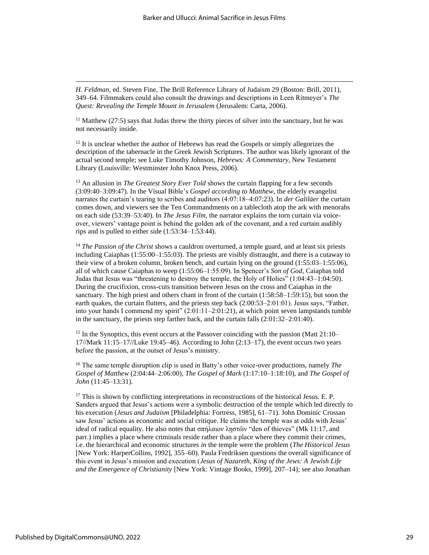*H. Feldman*, ed. Steven Fine, The Brill Reference Library of Judaism 29 (Boston: Brill, 2011), 349–64. Filmmakers could also consult the drawings and descriptions in Leen Ritmeyer's *The Quest: Revealing the Temple Mount in Jerusalem* (Jerusalem: Carta, 2006).

 $11$  Matthew (27:5) says that Judas threw the thirty pieces of silver into the sanctuary, but he was not necessarily inside.

 $12$  It is unclear whether the author of Hebrews has read the Gospels or simply allegorizes the description of the tabernacle in the Greek Jewish Scriptures. The author was likely ignorant of the actual second temple; see Luke Timothy Johnson, *Hebrews: A Commentary,* New Testament Library (Louisville: Westminster John Knox Press, 2006).

<sup>13</sup> An allusion in *The Greatest Story Ever Told* shows the curtain flapping for a few seconds (3:09:40–3:09:47). In the Visual Bible's *Gospel according to Matthew,* the elderly evangelist narrates the curtain's tearing to scribes and auditors (4:07:18–4:07:23). In *der Galiläer* the curtain comes down, and viewers see the Ten Commandments on a tablecloth atop the ark with menorahs on each side (53:39–53:40). In *The Jesus Film,* the narrator explains the torn curtain via voiceover, viewers' vantage point is behind the golden ark of the covenant, and a red curtain audibly rips and is pulled to either side (1:53:34–1:53:44).

<sup>14</sup> *The Passion of the Christ* shows a cauldron overturned, a temple guard, and at least six priests including Caiaphas (1:55:00–1:55:03). The priests are visibly distraught, and there is a cutaway to their view of a broken column, broken bench, and curtain lying on the ground (1:55:03–1:55:06), all of which cause Caiaphas to weep (1:55:06–1:55:09). In Spencer's *Son of God,* Caiaphas told Judas that Jesus was "threatening to destroy the temple, the Holy of Holies" (1:04:43–1:04:50). During the crucifixion, cross-cuts transition between Jesus on the cross and Caiaphas in the sanctuary. The high priest and others chant in front of the curtain (1:58:58–1:59:15), but soon the earth quakes, the curtain flutters, and the priests step back (2:00:53–2:01:01). Jesus says, "Father, into your hands I commend my spirit"  $(2:01:11-2:01:21)$ , at which point seven lampstands tumble in the sanctuary, the priests step farther back, and the curtain falls (2:01:32–2:01:40).

<sup>15</sup> In the Synoptics, this event occurs at the Passover coinciding with the passion (Matt 21:10–  $17$ //Mark  $11:15-17$ //Luke 19:45–46). According to John  $(2:13-17)$ , the event occurs two years before the passion, at the outset of Jesus's ministry.

<sup>16</sup> The same temple disruption clip is used in Batty's other voice-over productions, namely *The Gospel of Matthew* (2:04:44–2:06:00), *The Gospel of Mark* (1:17:10–1:18:10), and *The Gospel of John* (11:45–13:31).

<sup>17</sup> This is shown by conflicting interpretations in reconstructions of the historical Jesus. E. P. Sanders argued that Jesus's actions were a symbolic destruction of the temple which led directly to his execution (*Jesus and Judaism* [Philadelphia: Fortress, 1985], 61–71). John Dominic Crossan saw Jesus' actions as economic and social critique. He claims the temple was at odds with Jesus' ideal of radical equality. He also notes that σπήλαιον ληστῶν "den of thieves" (Mk 11:17, and parr.) implies a place where criminals reside rather than a place where they commit their crimes, i.e. the hierarchical and economic structures *in* the temple were the problem (*The Historical Jesus* [New York: HarperCollins, 1992], 355–60). Paula Fredriksen questions the overall significance of this event in Jesus's mission and execution (*Jesus of Nazareth, King of the Jews: A Jewish Life and the Emergence of Christianity* [New York: Vintage Books, 1999], 207–14); see also Jonathan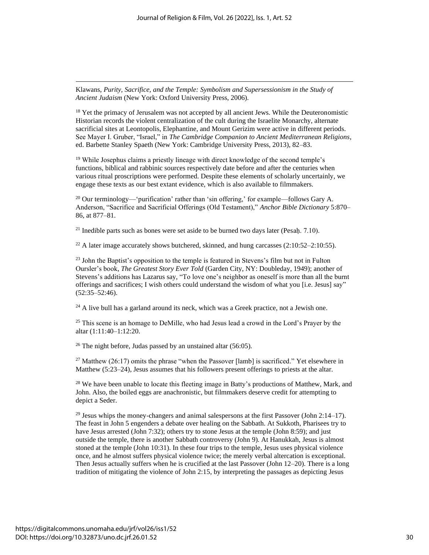Klawans, *Purity, Sacrifice, and the Temple: Symbolism and Supersessionism in the Study of Ancient Judaism* (New York: Oxford University Press, 2006).

<sup>18</sup> Yet the primacy of Jerusalem was not accepted by all ancient Jews. While the Deuteronomistic Historian records the violent centralization of the cult during the Israelite Monarchy, alternate sacrificial sites at Leontopolis, Elephantine, and Mount Gerizim were active in different periods. See Mayer I. Gruber, "Israel," in *The Cambridge Companion to Ancient Mediterranean Religions*, ed. Barbette Stanley Spaeth (New York: Cambridge University Press, 2013), 82–83.

 $19$  While Josephus claims a priestly lineage with direct knowledge of the second temple's functions, biblical and rabbinic sources respectively date before and after the centuries when various ritual proscriptions were performed. Despite these elements of scholarly uncertainly, we engage these texts as our best extant evidence, which is also available to filmmakers.

 $^{20}$  Our terminology—'purification' rather than 'sin offering,' for example—follows Gary A. Anderson, "Sacrifice and Sacrificial Offerings (Old Testament)," *Anchor Bible Dictionary* 5:870– 86, at 877–81.

 $21$  Inedible parts such as bones were set aside to be burned two days later (Pesah. 7.10).

 $^{22}$  A later image accurately shows butchered, skinned, and hung carcasses (2:10:52–2:10:55).

<sup>23</sup> John the Baptist's opposition to the temple is featured in Stevens's film but not in Fulton Oursler's book, *The Greatest Story Ever Told* (Garden City, NY: Doubleday, 1949); another of Stevens's additions has Lazarus say, "To love one's neighbor as oneself is more than all the burnt offerings and sacrifices; I wish others could understand the wisdom of what you [i.e. Jesus] say" (52:35–52:46).

 $^{24}$  A live bull has a garland around its neck, which was a Greek practice, not a Jewish one.

 $25$  This scene is an homage to DeMille, who had Jesus lead a crowd in the Lord's Prayer by the altar (1:11:40–1:12:20.

 $26$  The night before, Judas passed by an unstained altar (56:05).

<sup>27</sup> Matthew (26:17) omits the phrase "when the Passover [lamb] is sacrificed." Yet elsewhere in Matthew (5:23–24), Jesus assumes that his followers present offerings to priests at the altar.

<sup>28</sup> We have been unable to locate this fleeting image in Batty's productions of Matthew, Mark, and John. Also, the boiled eggs are anachronistic, but filmmakers deserve credit for attempting to depict a Seder.

 $29$  Jesus whips the money-changers and animal salespersons at the first Passover (John 2:14–17). The feast in John 5 engenders a debate over healing on the Sabbath. At Sukkoth, Pharisees try to have Jesus arrested (John 7:32); others try to stone Jesus at the temple (John 8:59); and just outside the temple, there is another Sabbath controversy (John 9). At Hanukkah, Jesus is almost stoned at the temple (John 10:31). In these four trips to the temple, Jesus uses physical violence once, and he almost suffers physical violence twice; the merely verbal altercation is exceptional. Then Jesus actually suffers when he is crucified at the last Passover (John 12–20). There is a long tradition of mitigating the violence of John 2:15, by interpreting the passages as depicting Jesus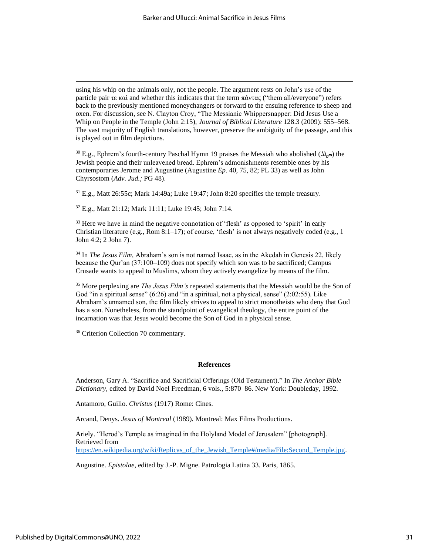using his whip on the animals only, not the people. The argument rests on John's use of the particle pair τε καὶ and whether this indicates that the term πάντας ("them all/everyone") refers back to the previously mentioned moneychangers or forward to the ensuing reference to sheep and oxen. For discussion, see N. Clayton Croy, "The Messianic Whippersnapper: Did Jesus Use a Whip on People in the Temple (John 2:15), *Journal of Biblical Literature* 128.3 (2009): 555–568. The vast majority of English translations, however, preserve the ambiguity of the passage, and this is played out in film depictions.

30 E.g., Ephrem's fourth-century Paschal Hymn 19 praises the Messiah who abolished  $(4\pi)$  the Jewish people and their unleavened bread. Ephrem's admonishments resemble ones by his contemporaries Jerome and Augustine (Augustine *Ep.* 40, 75, 82; PL 33) as well as John Chyrsostom (*Adv. Jud.;* PG 48).

<sup>31</sup> E.g., Matt 26:55c; Mark 14:49a; Luke 19:47; John 8:20 specifies the temple treasury.

<sup>32</sup> E.g., Matt 21:12; Mark 11:11; Luke 19:45; John 7:14.

<sup>33</sup> Here we have in mind the negative connotation of 'flesh' as opposed to 'spirit' in early Christian literature (e.g., Rom 8:1–17); of course, 'flesh' is not always negatively coded (e.g., 1) John 4:2; 2 John 7).

<sup>34</sup> In *The Jesus Film,* Abraham's son is not named Isaac, as in the Akedah in Genesis 22, likely because the Qur'an (37:100–109) does not specify which son was to be sacrificed; Campus Crusade wants to appeal to Muslims, whom they actively evangelize by means of the film.

<sup>35</sup> More perplexing are *The Jesus Film's* repeated statements that the Messiah would be the Son of God "in a spiritual sense" (6:26) and "in a spiritual, not a physical, sense" (2:02:55). Like Abraham's unnamed son, the film likely strives to appeal to strict monotheists who deny that God has a son. Nonetheless, from the standpoint of evangelical theology, the entire point of the incarnation was that Jesus would become the Son of God in a physical sense.

<sup>36</sup> Criterion Collection 70 commentary.

#### **References**

Anderson, Gary A. "Sacrifice and Sacrificial Offerings (Old Testament)." In *The Anchor Bible Dictionary,* edited by David Noel Freedman, 6 vols., 5:870–86. New York: Doubleday, 1992.

Antamoro, Guilio. *Christus* (1917) Rome: Cines.

Arcand, Denys. *Jesus of Montreal* (1989)*.* Montreal: Max Films Productions.

Ariely. "Herod's Temple as imagined in the Holyland Model of Jerusalem" [photograph]. Retrieved from https://en.wikipedia.org/wiki/Replicas of the Jewish Temple#/media/File:Second Temple.jpg.

Augustine. *Epistolae,* edited by J.-P. Migne. Patrologia Latina 33. Paris, 1865.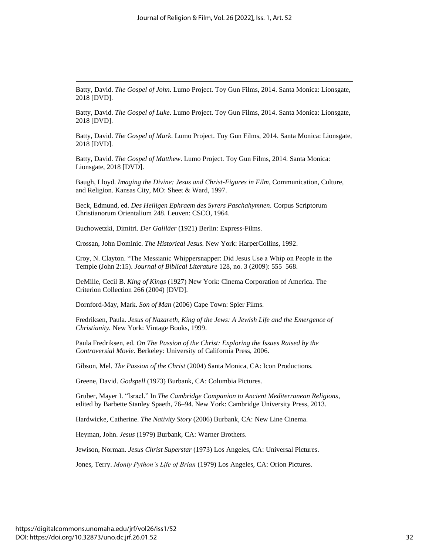Batty, David. *The Gospel of John*. Lumo Project. Toy Gun Films, 2014. Santa Monica: Lionsgate, 2018 [DVD].

Batty, David. *The Gospel of Luke*. Lumo Project. Toy Gun Films, 2014. Santa Monica: Lionsgate, 2018 [DVD].

Batty, David. *The Gospel of Mark*. Lumo Project. Toy Gun Films, 2014. Santa Monica: Lionsgate, 2018 [DVD].

Batty, David. *The Gospel of Matthew*. Lumo Project. Toy Gun Films, 2014. Santa Monica: Lionsgate, 2018 [DVD].

Baugh, Lloyd. *Imaging the Divine: Jesus and Christ-Figures in Film,* Communication, Culture, and Religion. Kansas City, MO: Sheet & Ward, 1997.

Beck, Edmund, ed. *Des Heiligen Ephraem des Syrers Paschahymnen.* Corpus Scriptorum Christianorum Orientalium 248. Leuven: CSCO, 1964.

Buchowetzki, Dimitri. *Der Galiläer* (1921) Berlin: Express-Films.

Crossan, John Dominic. *The Historical Jesus.* New York: HarperCollins, 1992.

Croy, N. Clayton. "The Messianic Whippersnapper: Did Jesus Use a Whip on People in the Temple (John 2:15). *Journal of Biblical Literature* 128, no. 3 (2009): 555–568.

DeMille, Cecil B. *King of Kings* (1927) New York: Cinema Corporation of America. The Criterion Collection 266 (2004) [DVD].

Dornford-May, Mark. *Son of Man* (2006) Cape Town: Spier Films.

Fredriksen, Paula. *Jesus of Nazareth, King of the Jews: A Jewish Life and the Emergence of Christianity.* New York: Vintage Books, 1999.

Paula Fredriksen, ed. *On The Passion of the Christ: Exploring the Issues Raised by the Controversial Movie.* Berkeley: University of California Press, 2006.

Gibson, Mel. *The Passion of the Christ* (2004) Santa Monica, CA: Icon Productions.

Greene, David. *Godspell* (1973) Burbank, CA: Columbia Pictures.

Gruber, Mayer I. "Israel." In *The Cambridge Companion to Ancient Mediterranean Religions,* edited by Barbette Stanley Spaeth, 76–94. New York: Cambridge University Press, 2013.

Hardwicke, Catherine. *The Nativity Story* (2006) Burbank, CA: New Line Cinema.

Heyman, John. *Jesus* (1979) Burbank, CA: Warner Brothers.

Jewison, Norman. *Jesus Christ Superstar* (1973) Los Angeles, CA: Universal Pictures.

Jones, Terry. *Monty Python's Life of Brian* (1979) Los Angeles, CA: Orion Pictures.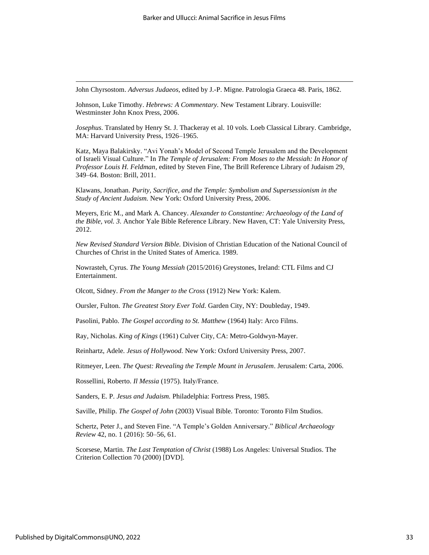John Chyrsostom. *Adversus Judaeos,* edited by J.-P. Migne. Patrologia Graeca 48. Paris, 1862.

Johnson, Luke Timothy. *Hebrews: A Commentary.* New Testament Library. Louisville: Westminster John Knox Press, 2006.

*Josephus*. Translated by Henry St. J. Thackeray et al. 10 vols. Loeb Classical Library. Cambridge, MA: Harvard University Press, 1926–1965.

Katz, Maya Balakirsky. "Avi Yonah's Model of Second Temple Jerusalem and the Development of Israeli Visual Culture." In *The Temple of Jerusalem: From Moses to the Messiah: In Honor of Professor Louis H. Feldman,* edited by Steven Fine, The Brill Reference Library of Judaism 29, 349–64. Boston: Brill, 2011.

Klawans, Jonathan. *Purity, Sacrifice, and the Temple: Symbolism and Supersessionism in the Study of Ancient Judaism.* New York: Oxford University Press, 2006.

Meyers, Eric M., and Mark A. Chancey. *Alexander to Constantine: Archaeology of the Land of the Bible, vol. 3.* Anchor Yale Bible Reference Library. New Haven, CT: Yale University Press, 2012.

*New Revised Standard Version Bible.* Division of Christian Education of the National Council of Churches of Christ in the United States of America. 1989.

Nowrasteh, Cyrus. *The Young Messiah* (2015/2016) Greystones, Ireland: CTL Films and CJ Entertainment.

Olcott, Sidney. *From the Manger to the Cross* (1912) New York: Kalem.

Oursler, Fulton. *The Greatest Story Ever Told.* Garden City, NY: Doubleday, 1949.

Pasolini, Pablo. *The Gospel according to St. Matthew* (1964) Italy: Arco Films.

Ray, Nicholas. *King of Kings* (1961) Culver City, CA: Metro-Goldwyn-Mayer.

Reinhartz, Adele. *Jesus of Hollywood.* New York: Oxford University Press, 2007.

Ritmeyer, Leen. *The Quest: Revealing the Temple Mount in Jerusalem*. Jerusalem: Carta, 2006.

Rossellini, Roberto. *Il Messia* (1975). Italy/France.

Sanders, E. P. *Jesus and Judaism.* Philadelphia: Fortress Press, 1985.

Saville, Philip. *The Gospel of John* (2003) Visual Bible. Toronto: Toronto Film Studios.

Schertz, Peter J., and Steven Fine. "A Temple's Golden Anniversary." *Biblical Archaeology Review* 42, no. 1 (2016): 50–56, 61.

Scorsese, Martin. *The Last Temptation of Christ* (1988) Los Angeles: Universal Studios. The Criterion Collection 70 (2000) [DVD].